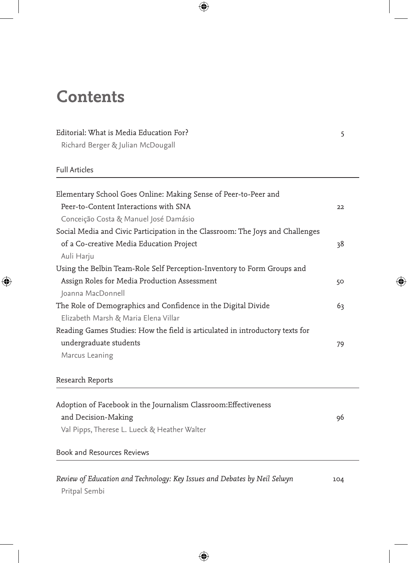# **Contents**

## Editorial: What is Media Education For? 5

Richard Berger & Julian McDougall

#### Full Articles

| Elementary School Goes Online: Making Sense of Peer-to-Peer and                |    |
|--------------------------------------------------------------------------------|----|
| Peer-to-Content Interactions with SNA                                          | 22 |
| Conceição Costa & Manuel José Damásio                                          |    |
| Social Media and Civic Participation in the Classroom: The Joys and Challenges |    |
| of a Co-creative Media Education Project                                       | 38 |
| Auli Harju                                                                     |    |
| Using the Belbin Team-Role Self Perception-Inventory to Form Groups and        |    |
| Assign Roles for Media Production Assessment                                   | 50 |
| Joanna MacDonnell                                                              |    |
| The Role of Demographics and Confidence in the Digital Divide                  | 63 |
| Elizabeth Marsh & Maria Elena Villar                                           |    |
| Reading Games Studies: How the field is articulated in introductory texts for  |    |
| undergraduate students                                                         | 79 |
| Marcus Leaning                                                                 |    |
|                                                                                |    |

## Research Reports

| Adoption of Facebook in the Journalism Classroom: Effectiveness |    |
|-----------------------------------------------------------------|----|
| and Decision-Making                                             | 96 |
| Val Pipps, Therese L. Lueck & Heather Walter                    |    |
| .                                                               |    |

#### Book and Resources Reviews

| Review of Education and Technology: Key Issues and Debates by Neil Selwyn | 104 |
|---------------------------------------------------------------------------|-----|
| Pritpal Sembi                                                             |     |